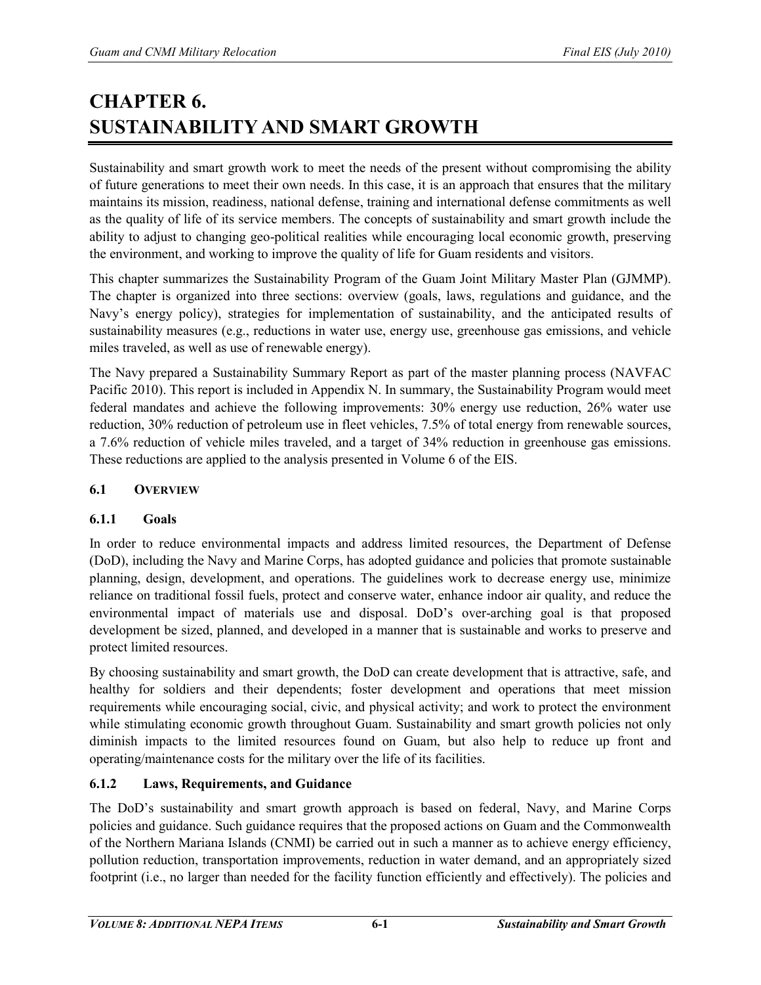# **CHAPTER 6. SUSTAINABILITY AND SMART GROWTH**

Sustainability and smart growth work to meet the needs of the present without compromising the ability of future generations to meet their own needs. In this case, it is an approach that ensures that the military maintains its mission, readiness, national defense, training and international defense commitments as well as the quality of life of its service members. The concepts of sustainability and smart growth include the ability to adjust to changing geo-political realities while encouraging local economic growth, preserving the environment, and working to improve the quality of life for Guam residents and visitors.

This chapter summarizes the Sustainability Program of the Guam Joint Military Master Plan (GJMMP). The chapter is organized into three sections: overview (goals, laws, regulations and guidance, and the Navy's energy policy), strategies for implementation of sustainability, and the anticipated results of sustainability measures (e.g., reductions in water use, energy use, greenhouse gas emissions, and vehicle miles traveled, as well as use of renewable energy).

The Navy prepared a Sustainability Summary Report as part of the master planning process (NAVFAC Pacific 2010). This report is included in Appendix N. In summary, the Sustainability Program would meet federal mandates and achieve the following improvements: 30% energy use reduction, 26% water use reduction, 30% reduction of petroleum use in fleet vehicles, 7.5% of total energy from renewable sources, a 7.6% reduction of vehicle miles traveled, and a target of 34% reduction in greenhouse gas emissions. These reductions are applied to the analysis presented in Volume 6 of the EIS.

## **6.1 OVERVIEW**

## **6.1.1 Goals**

In order to reduce environmental impacts and address limited resources, the Department of Defense (DoD), including the Navy and Marine Corps, has adopted guidance and policies that promote sustainable planning, design, development, and operations. The guidelines work to decrease energy use, minimize reliance on traditional fossil fuels, protect and conserve water, enhance indoor air quality, and reduce the environmental impact of materials use and disposal. DoD's over-arching goal is that proposed development be sized, planned, and developed in a manner that is sustainable and works to preserve and protect limited resources.

By choosing sustainability and smart growth, the DoD can create development that is attractive, safe, and healthy for soldiers and their dependents; foster development and operations that meet mission requirements while encouraging social, civic, and physical activity; and work to protect the environment while stimulating economic growth throughout Guam. Sustainability and smart growth policies not only diminish impacts to the limited resources found on Guam, but also help to reduce up front and operating/maintenance costs for the military over the life of its facilities.

# **6.1.2 Laws, Requirements, and Guidance**

The DoD's sustainability and smart growth approach is based on federal, Navy, and Marine Corps policies and guidance. Such guidance requires that the proposed actions on Guam and the Commonwealth of the Northern Mariana Islands (CNMI) be carried out in such a manner as to achieve energy efficiency, pollution reduction, transportation improvements, reduction in water demand, and an appropriately sized footprint (i.e., no larger than needed for the facility function efficiently and effectively). The policies and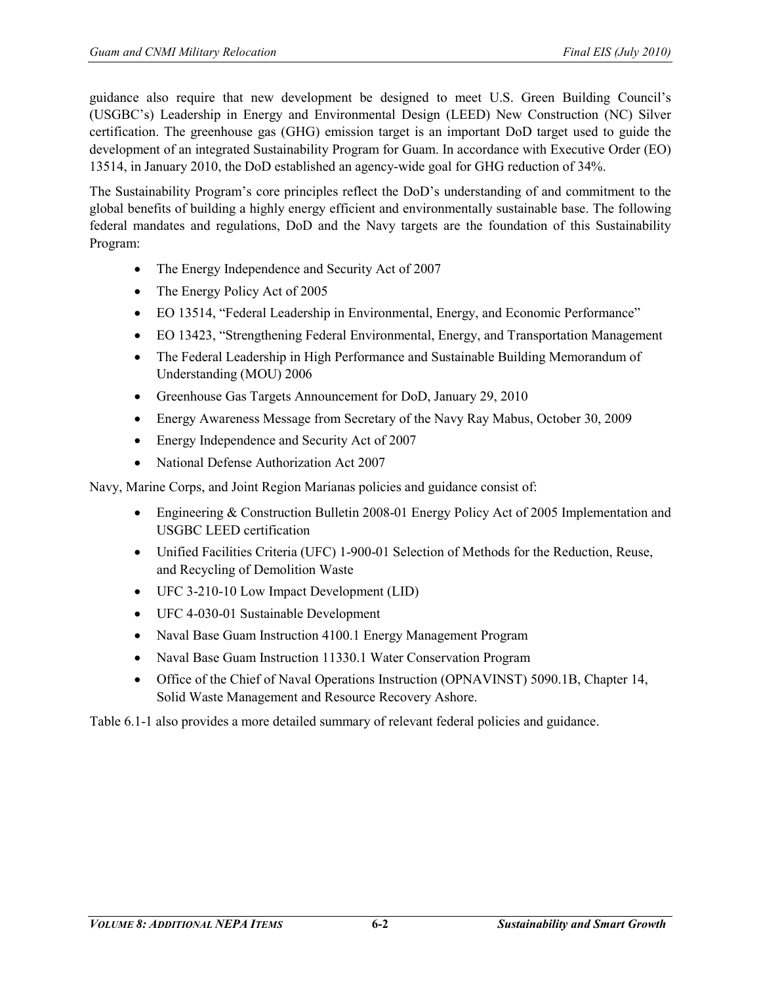guidance also require that new development be designed to meet U.S. Green Building Council's (USGBC's) Leadership in Energy and Environmental Design (LEED) New Construction (NC) Silver certification. The greenhouse gas (GHG) emission target is an important DoD target used to guide the development of an integrated Sustainability Program for Guam. In accordance with Executive Order (EO) 13514, in January 2010, the DoD established an agency-wide goal for GHG reduction of 34%.

The Sustainability Program's core principles reflect the DoD's understanding of and commitment to the global benefits of building a highly energy efficient and environmentally sustainable base. The following federal mandates and regulations, DoD and the Navy targets are the foundation of this Sustainability Program:

- The Energy Independence and Security Act of 2007
- The Energy Policy Act of 2005
- EO 13514, "Federal Leadership in Environmental, Energy, and Economic Performance"
- EO 13423, "Strengthening Federal Environmental, Energy, and Transportation Management
- The Federal Leadership in High Performance and Sustainable Building Memorandum of Understanding (MOU) 2006
- Greenhouse Gas Targets Announcement for DoD, January 29, 2010
- Energy Awareness Message from Secretary of the Navy Ray Mabus, October 30, 2009
- Energy Independence and Security Act of 2007
- National Defense Authorization Act 2007

Navy, Marine Corps, and Joint Region Marianas policies and guidance consist of:

- Engineering & Construction Bulletin 2008-01 Energy Policy Act of 2005 Implementation and USGBC LEED certification
- Unified Facilities Criteria (UFC) 1-900-01 Selection of Methods for the Reduction, Reuse, and Recycling of Demolition Waste
- UFC 3-210-10 Low Impact Development (LID)
- UFC 4-030-01 Sustainable Development
- Naval Base Guam Instruction 4100.1 Energy Management Program
- Naval Base Guam Instruction 11330.1 Water Conservation Program
- Office of the Chief of Naval Operations Instruction (OPNAVINST) 5090.1B, Chapter 14, Solid Waste Management and Resource Recovery Ashore.

Table 6.1-1 also provides a more detailed summary of relevant federal policies and guidance.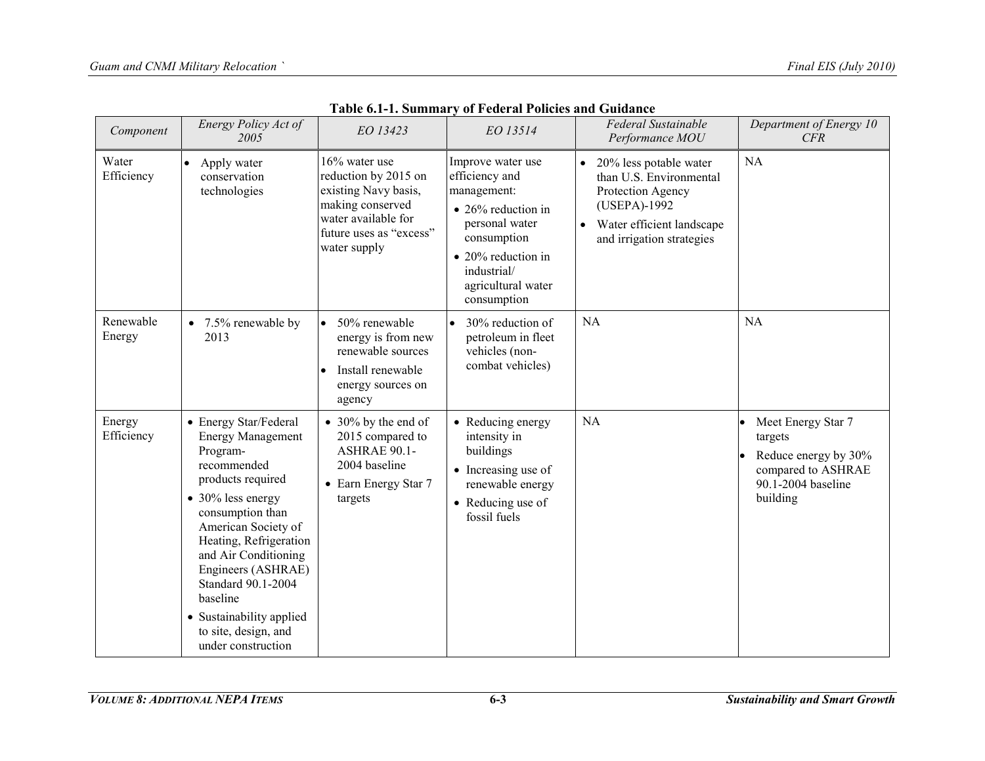| Component            | Energy Policy Act of<br>2005                                                                                                                                                                                                                                                                                                                          | EO 13423                                                                                                                                               | EO 13514                                                                                                                                                                                    | Federal Sustainable<br>Performance MOU                                                                                                                        | Department of Energy 10<br>CFR                                                                                |
|----------------------|-------------------------------------------------------------------------------------------------------------------------------------------------------------------------------------------------------------------------------------------------------------------------------------------------------------------------------------------------------|--------------------------------------------------------------------------------------------------------------------------------------------------------|---------------------------------------------------------------------------------------------------------------------------------------------------------------------------------------------|---------------------------------------------------------------------------------------------------------------------------------------------------------------|---------------------------------------------------------------------------------------------------------------|
| Water<br>Efficiency  | Apply water<br>conservation<br>technologies                                                                                                                                                                                                                                                                                                           | $16\%$ water use<br>reduction by 2015 on<br>existing Navy basis,<br>making conserved<br>water available for<br>future uses as "excess"<br>water supply | Improve water use<br>efficiency and<br>management:<br>$\bullet$ 26% reduction in<br>personal water<br>consumption<br>• 20% reduction in<br>industrial/<br>agricultural water<br>consumption | 20% less potable water<br>$\bullet$<br>than U.S. Environmental<br>Protection Agency<br>(USEPA)-1992<br>Water efficient landscape<br>and irrigation strategies | <b>NA</b>                                                                                                     |
| Renewable<br>Energy  | • $7.5\%$ renewable by<br>2013                                                                                                                                                                                                                                                                                                                        | 50% renewable<br>$\bullet$<br>energy is from new<br>renewable sources<br>Install renewable<br>energy sources on<br>agency                              | 30% reduction of<br>petroleum in fleet<br>vehicles (non-<br>combat vehicles)                                                                                                                | NA                                                                                                                                                            | <b>NA</b>                                                                                                     |
| Energy<br>Efficiency | • Energy Star/Federal<br><b>Energy Management</b><br>Program-<br>recommended<br>products required<br>• 30% less energy<br>consumption than<br>American Society of<br>Heating, Refrigeration<br>and Air Conditioning<br>Engineers (ASHRAE)<br>Standard 90.1-2004<br>baseline<br>• Sustainability applied<br>to site, design, and<br>under construction | $\bullet$ 30% by the end of<br>2015 compared to<br><b>ASHRAE 90.1-</b><br>2004 baseline<br>• Earn Energy Star 7<br>targets                             | • Reducing energy<br>intensity in<br>buildings<br>• Increasing use of<br>renewable energy<br>• Reducing use of<br>fossil fuels                                                              | <b>NA</b>                                                                                                                                                     | Meet Energy Star 7<br>targets<br>Reduce energy by 30%<br>compared to ASHRAE<br>90.1-2004 baseline<br>building |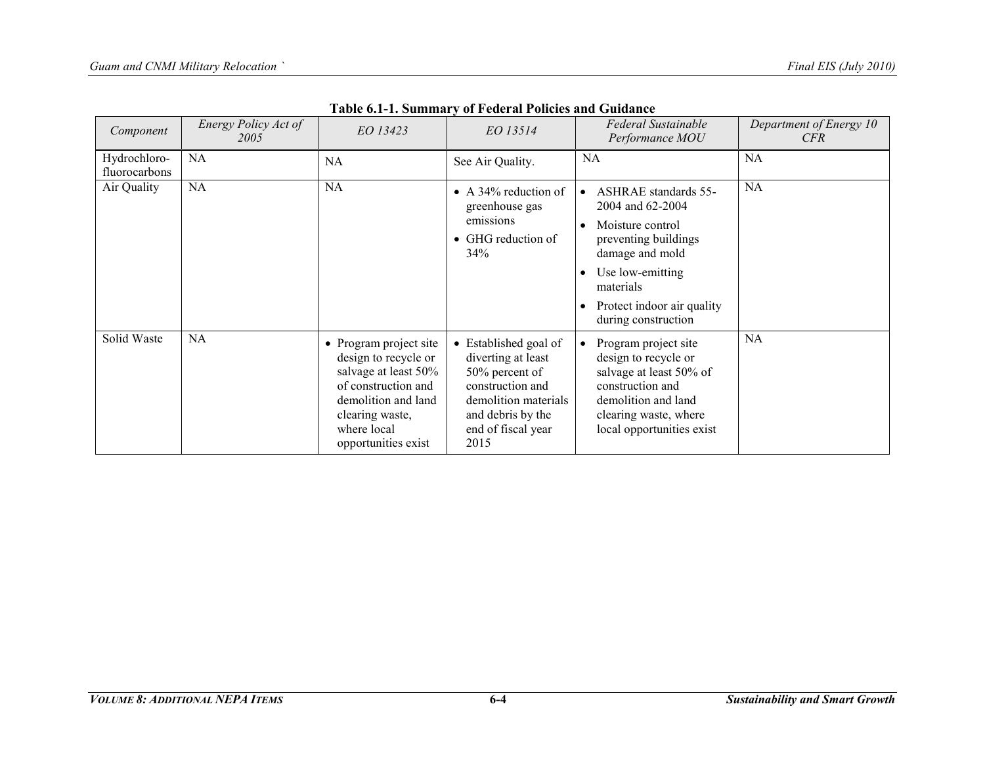| Component                     | Energy Policy Act of<br>2005 | EO 13423                                                                                                                                                                      | EO 13514                                                                                                                                                     | Federal Sustainable<br>Performance MOU                                                                                                                                                                    | Department of Energy 10<br>CFR |
|-------------------------------|------------------------------|-------------------------------------------------------------------------------------------------------------------------------------------------------------------------------|--------------------------------------------------------------------------------------------------------------------------------------------------------------|-----------------------------------------------------------------------------------------------------------------------------------------------------------------------------------------------------------|--------------------------------|
| Hydrochloro-<br>fluorocarbons | NA                           | NA.                                                                                                                                                                           | See Air Quality.                                                                                                                                             | <b>NA</b>                                                                                                                                                                                                 | <b>NA</b>                      |
| Air Quality                   | NA                           | <b>NA</b>                                                                                                                                                                     | • A 34% reduction of<br>greenhouse gas<br>emissions<br>• GHG reduction of<br>34%                                                                             | <b>ASHRAE</b> standards 55-<br>2004 and 62-2004<br>Moisture control<br>٠<br>preventing buildings<br>damage and mold<br>Use low-emitting<br>materials<br>Protect indoor air quality<br>during construction | <b>NA</b>                      |
| Solid Waste                   | <b>NA</b>                    | • Program project site<br>design to recycle or<br>salvage at least 50%<br>of construction and<br>demolition and land<br>clearing waste,<br>where local<br>opportunities exist | • Established goal of<br>diverting at least<br>50% percent of<br>construction and<br>demolition materials<br>and debris by the<br>end of fiscal year<br>2015 | Program project site<br>design to recycle or<br>salvage at least 50% of<br>construction and<br>demolition and land<br>clearing waste, where<br>local opportunities exist                                  | <b>NA</b>                      |

**Table 6.1-1. Summary of Federal Policies and Guidance**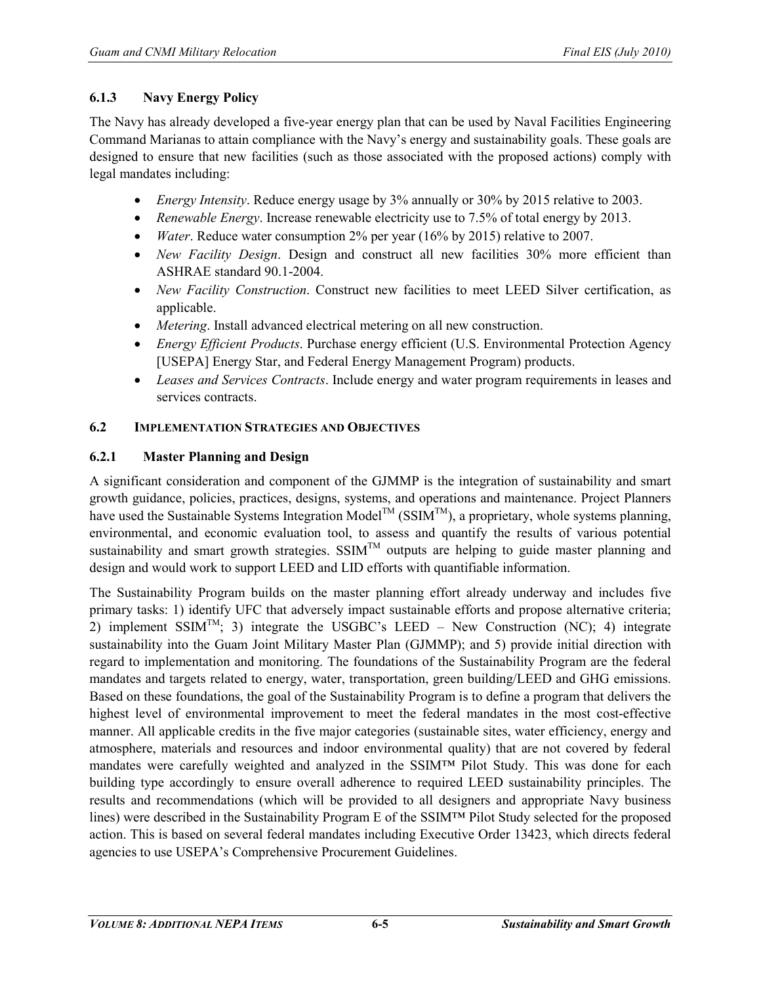## **6.1.3 Navy Energy Policy**

The Navy has already developed a five-year energy plan that can be used by Naval Facilities Engineering Command Marianas to attain compliance with the Navy's energy and sustainability goals. These goals are designed to ensure that new facilities (such as those associated with the proposed actions) comply with legal mandates including:

- *Energy Intensity*. Reduce energy usage by 3% annually or 30% by 2015 relative to 2003.
- *Renewable Energy*. Increase renewable electricity use to 7.5% of total energy by 2013.
- *Water*. Reduce water consumption 2% per year (16% by 2015) relative to 2007.
- *New Facility Design.* Design and construct all new facilities 30% more efficient than ASHRAE standard 90.1-2004.
- *New Facility Construction*. Construct new facilities to meet LEED Silver certification, as applicable.
- *Metering*. Install advanced electrical metering on all new construction.
- *Energy Efficient Products*. Purchase energy efficient (U.S. Environmental Protection Agency [USEPA] Energy Star, and Federal Energy Management Program) products.
- *Leases and Services Contracts*. Include energy and water program requirements in leases and services contracts.

## **6.2 IMPLEMENTATION STRATEGIES AND OBJECTIVES**

## **6.2.1 Master Planning and Design**

A significant consideration and component of the GJMMP is the integration of sustainability and smart growth guidance, policies, practices, designs, systems, and operations and maintenance. Project Planners have used the Sustainable Systems Integration Model<sup>TM</sup> (SSIM<sup>TM</sup>), a proprietary, whole systems planning, environmental, and economic evaluation tool, to assess and quantify the results of various potential sustainability and smart growth strategies.  $SSIM<sup>TM</sup>$  outputs are helping to guide master planning and design and would work to support LEED and LID efforts with quantifiable information.

The Sustainability Program builds on the master planning effort already underway and includes five primary tasks: 1) identify UFC that adversely impact sustainable efforts and propose alternative criteria; 2) implement SSIM<sup>TM</sup>; 3) integrate the USGBC's LEED – New Construction (NC); 4) integrate sustainability into the Guam Joint Military Master Plan (GJMMP); and 5) provide initial direction with regard to implementation and monitoring. The foundations of the Sustainability Program are the federal mandates and targets related to energy, water, transportation, green building/LEED and GHG emissions. Based on these foundations, the goal of the Sustainability Program is to define a program that delivers the highest level of environmental improvement to meet the federal mandates in the most cost-effective manner. All applicable credits in the five major categories (sustainable sites, water efficiency, energy and atmosphere, materials and resources and indoor environmental quality) that are not covered by federal mandates were carefully weighted and analyzed in the SSIM™ Pilot Study. This was done for each building type accordingly to ensure overall adherence to required LEED sustainability principles. The results and recommendations (which will be provided to all designers and appropriate Navy business lines) were described in the Sustainability Program E of the SSIM™ Pilot Study selected for the proposed action. This is based on several federal mandates including Executive Order 13423, which directs federal agencies to use USEPA's Comprehensive Procurement Guidelines.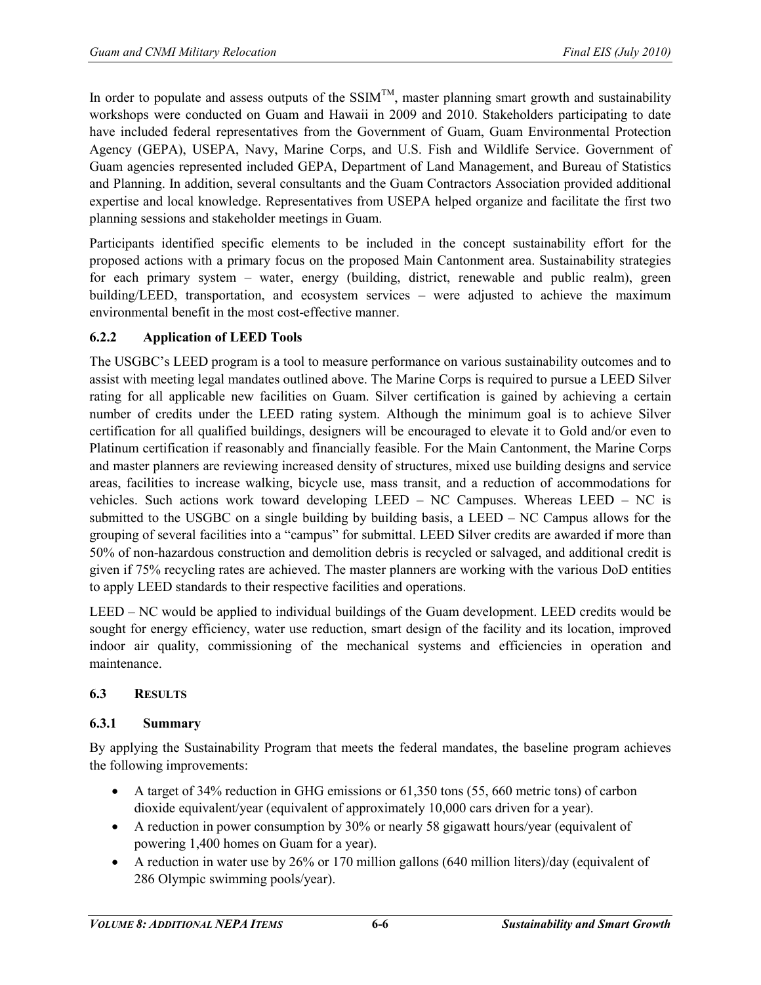In order to populate and assess outputs of the  $SSIM^{TM}$ , master planning smart growth and sustainability workshops were conducted on Guam and Hawaii in 2009 and 2010. Stakeholders participating to date have included federal representatives from the Government of Guam, Guam Environmental Protection Agency (GEPA), USEPA, Navy, Marine Corps, and U.S. Fish and Wildlife Service. Government of Guam agencies represented included GEPA, Department of Land Management, and Bureau of Statistics and Planning. In addition, several consultants and the Guam Contractors Association provided additional expertise and local knowledge. Representatives from USEPA helped organize and facilitate the first two planning sessions and stakeholder meetings in Guam.

Participants identified specific elements to be included in the concept sustainability effort for the proposed actions with a primary focus on the proposed Main Cantonment area. Sustainability strategies for each primary system – water, energy (building, district, renewable and public realm), green building/LEED, transportation, and ecosystem services – were adjusted to achieve the maximum environmental benefit in the most cost-effective manner.

## **6.2.2 Application of LEED Tools**

The USGBC's LEED program is a tool to measure performance on various sustainability outcomes and to assist with meeting legal mandates outlined above. The Marine Corps is required to pursue a LEED Silver rating for all applicable new facilities on Guam. Silver certification is gained by achieving a certain number of credits under the LEED rating system. Although the minimum goal is to achieve Silver certification for all qualified buildings, designers will be encouraged to elevate it to Gold and/or even to Platinum certification if reasonably and financially feasible. For the Main Cantonment, the Marine Corps and master planners are reviewing increased density of structures, mixed use building designs and service areas, facilities to increase walking, bicycle use, mass transit, and a reduction of accommodations for vehicles. Such actions work toward developing LEED – NC Campuses. Whereas LEED – NC is submitted to the USGBC on a single building by building basis, a LEED – NC Campus allows for the grouping of several facilities into a "campus" for submittal. LEED Silver credits are awarded if more than 50% of non-hazardous construction and demolition debris is recycled or salvaged, and additional credit is given if 75% recycling rates are achieved. The master planners are working with the various DoD entities to apply LEED standards to their respective facilities and operations.

LEED – NC would be applied to individual buildings of the Guam development. LEED credits would be sought for energy efficiency, water use reduction, smart design of the facility and its location, improved indoor air quality, commissioning of the mechanical systems and efficiencies in operation and maintenance.

## **6.3 RESULTS**

## **6.3.1 Summary**

By applying the Sustainability Program that meets the federal mandates, the baseline program achieves the following improvements:

- A target of 34% reduction in GHG emissions or 61,350 tons (55, 660 metric tons) of carbon dioxide equivalent/year (equivalent of approximately 10,000 cars driven for a year).
- A reduction in power consumption by 30% or nearly 58 gigawatt hours/year (equivalent of powering 1,400 homes on Guam for a year).
- A reduction in water use by 26% or 170 million gallons (640 million liters)/day (equivalent of 286 Olympic swimming pools/year).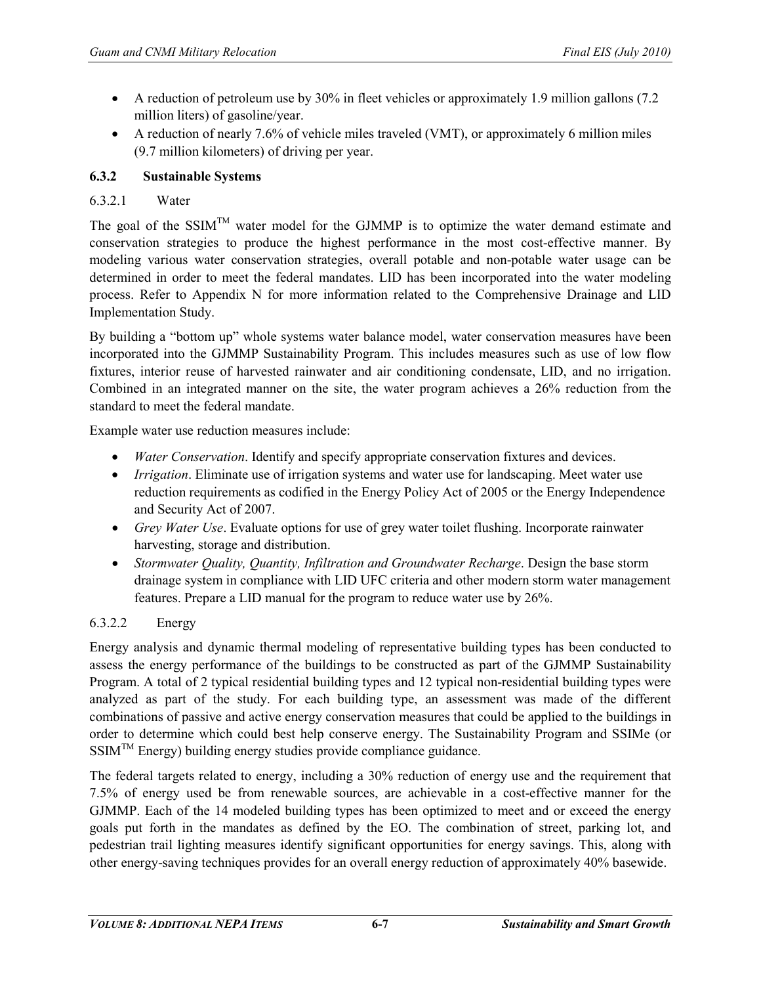- A reduction of petroleum use by 30% in fleet vehicles or approximately 1.9 million gallons (7.2) million liters) of gasoline/year.
- A reduction of nearly 7.6% of vehicle miles traveled (VMT), or approximately 6 million miles (9.7 million kilometers) of driving per year.

### **6.3.2 Sustainable Systems**

#### 6.3.2.1 Water

The goal of the SSIM<sup>TM</sup> water model for the GJMMP is to optimize the water demand estimate and conservation strategies to produce the highest performance in the most cost-effective manner. By modeling various water conservation strategies, overall potable and non-potable water usage can be determined in order to meet the federal mandates. LID has been incorporated into the water modeling process. Refer to Appendix N for more information related to the Comprehensive Drainage and LID Implementation Study.

By building a "bottom up" whole systems water balance model, water conservation measures have been incorporated into the GJMMP Sustainability Program. This includes measures such as use of low flow fixtures, interior reuse of harvested rainwater and air conditioning condensate, LID, and no irrigation. Combined in an integrated manner on the site, the water program achieves a 26% reduction from the standard to meet the federal mandate.

Example water use reduction measures include:

- *Water Conservation*. Identify and specify appropriate conservation fixtures and devices.
- *Irrigation*. Eliminate use of irrigation systems and water use for landscaping. Meet water use reduction requirements as codified in the Energy Policy Act of 2005 or the Energy Independence and Security Act of 2007.
- *Grey Water Use*. Evaluate options for use of grey water toilet flushing. Incorporate rainwater harvesting, storage and distribution.
- *Stormwater Quality, Quantity, Infiltration and Groundwater Recharge*. Design the base storm drainage system in compliance with LID UFC criteria and other modern storm water management features. Prepare a LID manual for the program to reduce water use by 26%.

## 6.3.2.2 Energy

Energy analysis and dynamic thermal modeling of representative building types has been conducted to assess the energy performance of the buildings to be constructed as part of the GJMMP Sustainability Program. A total of 2 typical residential building types and 12 typical non-residential building types were analyzed as part of the study. For each building type, an assessment was made of the different combinations of passive and active energy conservation measures that could be applied to the buildings in order to determine which could best help conserve energy. The Sustainability Program and SSIMe (or SSIM<sup>™</sup> Energy) building energy studies provide compliance guidance.

The federal targets related to energy, including a 30% reduction of energy use and the requirement that 7.5% of energy used be from renewable sources, are achievable in a cost-effective manner for the GJMMP. Each of the 14 modeled building types has been optimized to meet and or exceed the energy goals put forth in the mandates as defined by the EO. The combination of street, parking lot, and pedestrian trail lighting measures identify significant opportunities for energy savings. This, along with other energy-saving techniques provides for an overall energy reduction of approximately 40% basewide.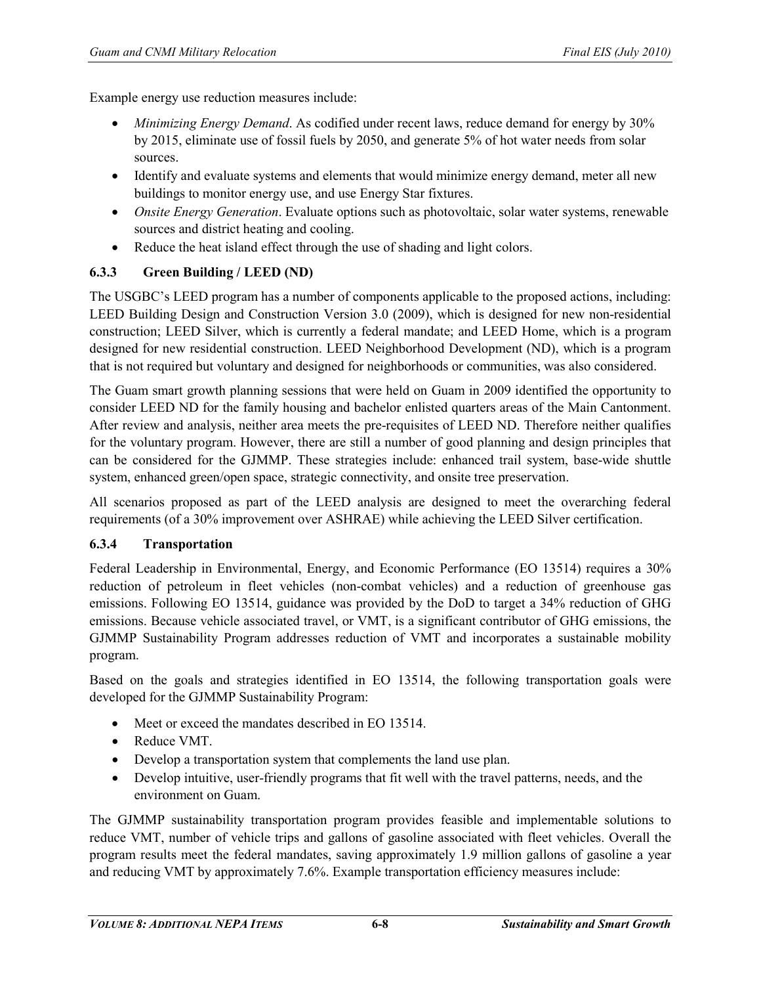Example energy use reduction measures include:

- *Minimizing Energy Demand*. As codified under recent laws, reduce demand for energy by 30% by 2015, eliminate use of fossil fuels by 2050, and generate 5% of hot water needs from solar sources.
- Identify and evaluate systems and elements that would minimize energy demand, meter all new buildings to monitor energy use, and use Energy Star fixtures.
- *Onsite Energy Generation*. Evaluate options such as photovoltaic, solar water systems, renewable sources and district heating and cooling.
- Reduce the heat island effect through the use of shading and light colors.

#### **6.3.3 Green Building / LEED (ND)**

The USGBC's LEED program has a number of components applicable to the proposed actions, including: LEED Building Design and Construction Version 3.0 (2009), which is designed for new non-residential construction; LEED Silver, which is currently a federal mandate; and LEED Home, which is a program designed for new residential construction. LEED Neighborhood Development (ND), which is a program that is not required but voluntary and designed for neighborhoods or communities, was also considered.

The Guam smart growth planning sessions that were held on Guam in 2009 identified the opportunity to consider LEED ND for the family housing and bachelor enlisted quarters areas of the Main Cantonment. After review and analysis, neither area meets the pre-requisites of LEED ND. Therefore neither qualifies for the voluntary program. However, there are still a number of good planning and design principles that can be considered for the GJMMP. These strategies include: enhanced trail system, base-wide shuttle system, enhanced green/open space, strategic connectivity, and onsite tree preservation.

All scenarios proposed as part of the LEED analysis are designed to meet the overarching federal requirements (of a 30% improvement over ASHRAE) while achieving the LEED Silver certification.

#### **6.3.4 Transportation**

Federal Leadership in Environmental, Energy, and Economic Performance (EO 13514) requires a 30% reduction of petroleum in fleet vehicles (non-combat vehicles) and a reduction of greenhouse gas emissions. Following EO 13514, guidance was provided by the DoD to target a 34% reduction of GHG emissions. Because vehicle associated travel, or VMT, is a significant contributor of GHG emissions, the GJMMP Sustainability Program addresses reduction of VMT and incorporates a sustainable mobility program.

Based on the goals and strategies identified in EO 13514, the following transportation goals were developed for the GJMMP Sustainability Program:

- Meet or exceed the mandates described in EO 13514.
- Reduce VMT.
- Develop a transportation system that complements the land use plan.
- Develop intuitive, user-friendly programs that fit well with the travel patterns, needs, and the environment on Guam.

The GJMMP sustainability transportation program provides feasible and implementable solutions to reduce VMT, number of vehicle trips and gallons of gasoline associated with fleet vehicles. Overall the program results meet the federal mandates, saving approximately 1.9 million gallons of gasoline a year and reducing VMT by approximately 7.6%. Example transportation efficiency measures include: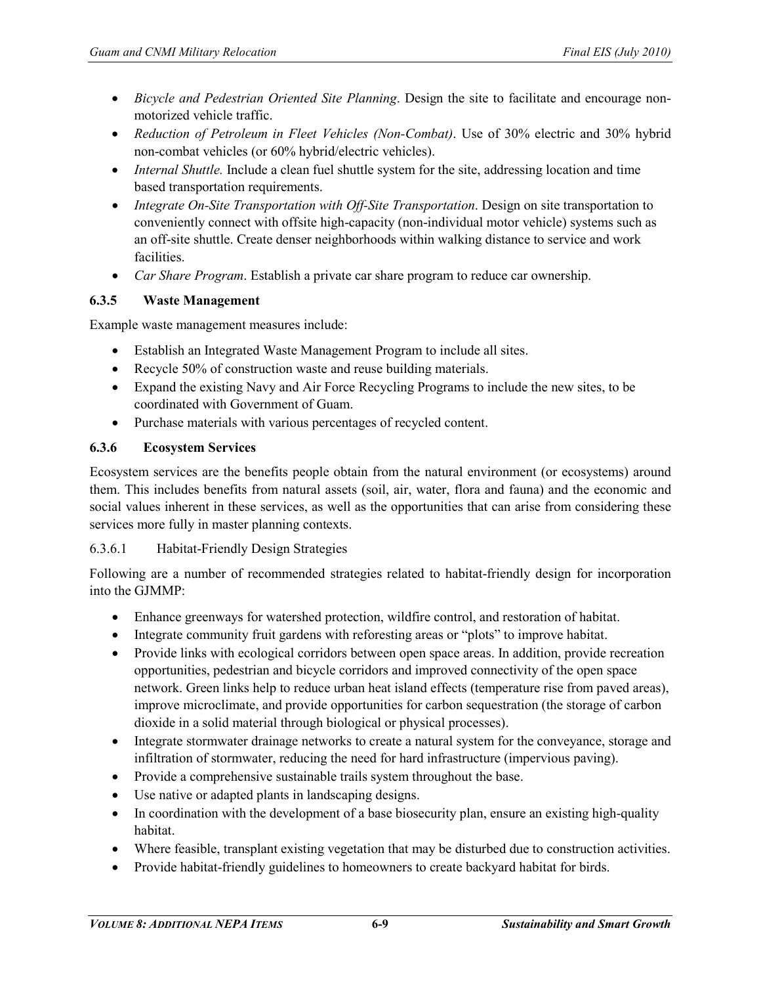- *Bicycle and Pedestrian Oriented Site Planning*. Design the site to facilitate and encourage nonmotorized vehicle traffic.
- *Reduction of Petroleum in Fleet Vehicles (Non-Combat)*. Use of 30% electric and 30% hybrid non-combat vehicles (or 60% hybrid/electric vehicles).
- *Internal Shuttle.* Include a clean fuel shuttle system for the site, addressing location and time based transportation requirements.
- *Integrate On-Site Transportation with Off-Site Transportation*. Design on site transportation to conveniently connect with offsite high-capacity (non-individual motor vehicle) systems such as an off-site shuttle. Create denser neighborhoods within walking distance to service and work facilities.
- *Car Share Program*. Establish a private car share program to reduce car ownership.

#### **6.3.5 Waste Management**

Example waste management measures include:

- Establish an Integrated Waste Management Program to include all sites.
- Recycle 50% of construction waste and reuse building materials.
- Expand the existing Navy and Air Force Recycling Programs to include the new sites, to be coordinated with Government of Guam.
- Purchase materials with various percentages of recycled content.

#### **6.3.6 Ecosystem Services**

Ecosystem services are the benefits people obtain from the natural environment (or ecosystems) around them. This includes benefits from natural assets (soil, air, water, flora and fauna) and the economic and social values inherent in these services, as well as the opportunities that can arise from considering these services more fully in master planning contexts.

#### 6.3.6.1 Habitat-Friendly Design Strategies

Following are a number of recommended strategies related to habitat-friendly design for incorporation into the GJMMP:

- Enhance greenways for watershed protection, wildfire control, and restoration of habitat.
- Integrate community fruit gardens with reforesting areas or "plots" to improve habitat.
- Provide links with ecological corridors between open space areas. In addition, provide recreation opportunities, pedestrian and bicycle corridors and improved connectivity of the open space network. Green links help to reduce urban heat island effects (temperature rise from paved areas), improve microclimate, and provide opportunities for carbon sequestration (the storage of carbon dioxide in a solid material through biological or physical processes).
- Integrate stormwater drainage networks to create a natural system for the conveyance, storage and infiltration of stormwater, reducing the need for hard infrastructure (impervious paving).
- Provide a comprehensive sustainable trails system throughout the base.
- Use native or adapted plants in landscaping designs.
- In coordination with the development of a base biosecurity plan, ensure an existing high-quality habitat.
- Where feasible, transplant existing vegetation that may be disturbed due to construction activities.
- Provide habitat-friendly guidelines to homeowners to create backyard habitat for birds.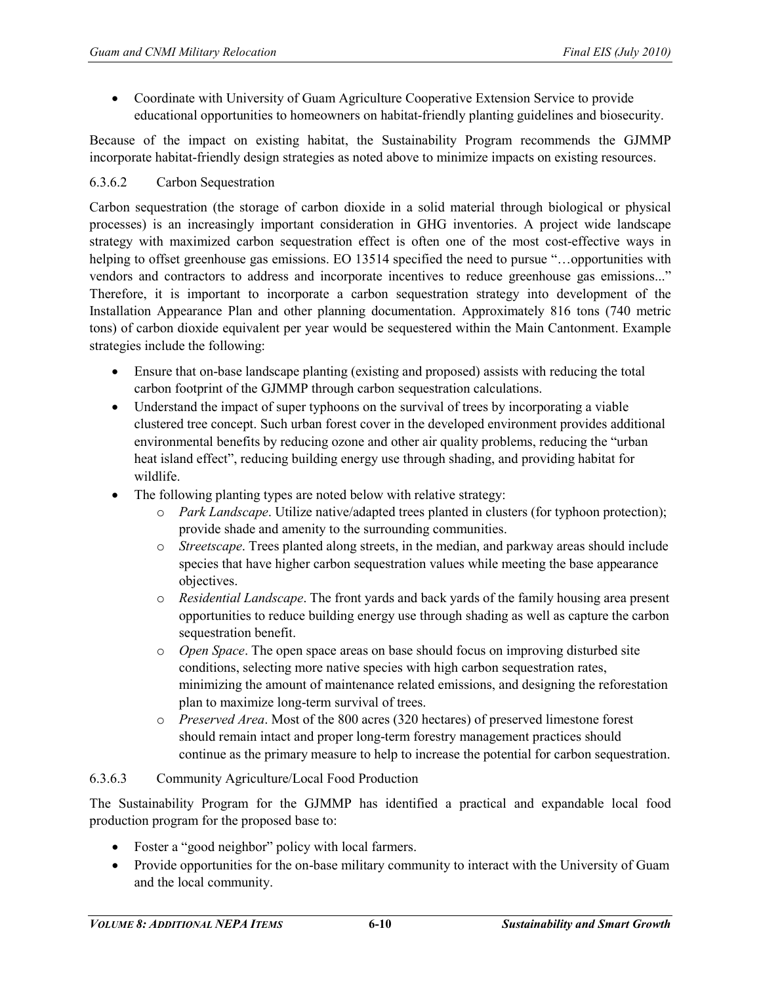• Coordinate with University of Guam Agriculture Cooperative Extension Service to provide educational opportunities to homeowners on habitat-friendly planting guidelines and biosecurity.

Because of the impact on existing habitat, the Sustainability Program recommends the GJMMP incorporate habitat-friendly design strategies as noted above to minimize impacts on existing resources.

#### 6.3.6.2 Carbon Sequestration

Carbon sequestration (the storage of carbon dioxide in a solid material through biological or physical processes) is an increasingly important consideration in GHG inventories. A project wide landscape strategy with maximized carbon sequestration effect is often one of the most cost-effective ways in helping to offset greenhouse gas emissions. EO 13514 specified the need to pursue "...opportunities with vendors and contractors to address and incorporate incentives to reduce greenhouse gas emissions..." Therefore, it is important to incorporate a carbon sequestration strategy into development of the Installation Appearance Plan and other planning documentation. Approximately 816 tons (740 metric tons) of carbon dioxide equivalent per year would be sequestered within the Main Cantonment. Example strategies include the following:

- Ensure that on-base landscape planting (existing and proposed) assists with reducing the total carbon footprint of the GJMMP through carbon sequestration calculations.
- Understand the impact of super typhoons on the survival of trees by incorporating a viable clustered tree concept. Such urban forest cover in the developed environment provides additional environmental benefits by reducing ozone and other air quality problems, reducing the "urban heat island effect", reducing building energy use through shading, and providing habitat for wildlife.
- The following planting types are noted below with relative strategy:
	- o *Park Landscape*. Utilize native/adapted trees planted in clusters (for typhoon protection); provide shade and amenity to the surrounding communities.
	- o *Streetscape*. Trees planted along streets, in the median, and parkway areas should include species that have higher carbon sequestration values while meeting the base appearance objectives.
	- o *Residential Landscape*. The front yards and back yards of the family housing area present opportunities to reduce building energy use through shading as well as capture the carbon sequestration benefit.
	- o *Open Space*. The open space areas on base should focus on improving disturbed site conditions, selecting more native species with high carbon sequestration rates, minimizing the amount of maintenance related emissions, and designing the reforestation plan to maximize long-term survival of trees.
	- o *Preserved Area*. Most of the 800 acres (320 hectares) of preserved limestone forest should remain intact and proper long-term forestry management practices should continue as the primary measure to help to increase the potential for carbon sequestration.

#### 6.3.6.3 Community Agriculture/Local Food Production

The Sustainability Program for the GJMMP has identified a practical and expandable local food production program for the proposed base to:

- Foster a "good neighbor" policy with local farmers.
- Provide opportunities for the on-base military community to interact with the University of Guam and the local community.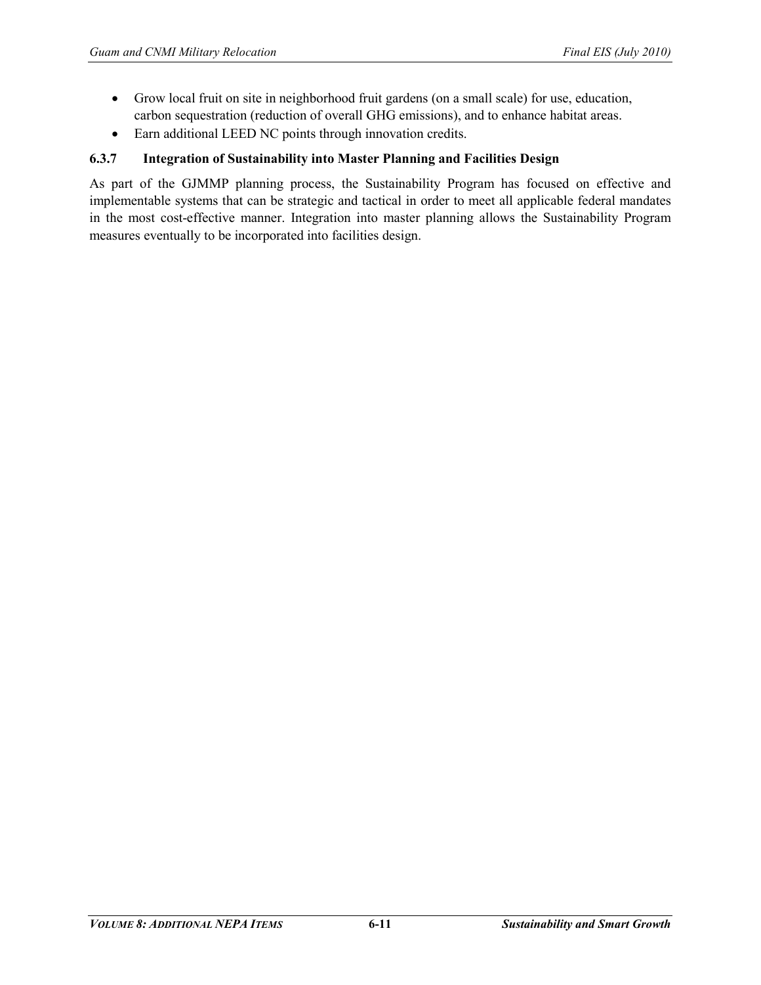- Grow local fruit on site in neighborhood fruit gardens (on a small scale) for use, education, carbon sequestration (reduction of overall GHG emissions), and to enhance habitat areas.
- Earn additional LEED NC points through innovation credits.

#### **6.3.7 Integration of Sustainability into Master Planning and Facilities Design**

As part of the GJMMP planning process, the Sustainability Program has focused on effective and implementable systems that can be strategic and tactical in order to meet all applicable federal mandates in the most cost-effective manner. Integration into master planning allows the Sustainability Program measures eventually to be incorporated into facilities design.